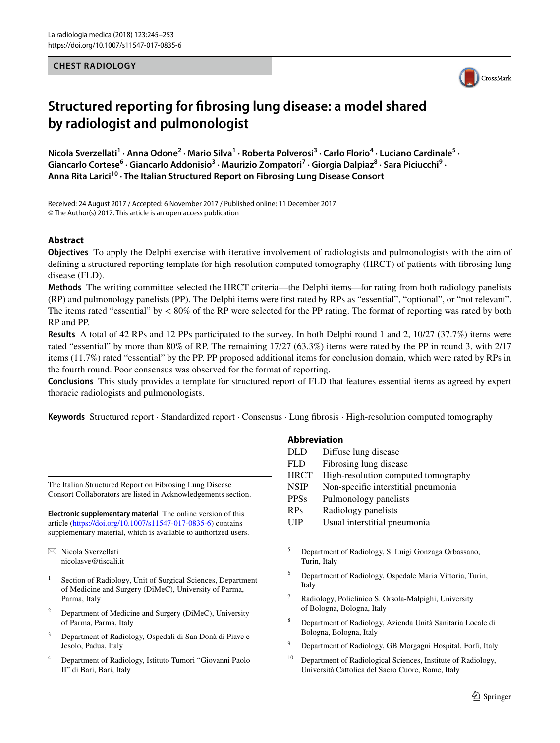## **CHEST RADIOLOGY**



# **Structured reporting for fbrosing lung disease: a model shared by radiologist and pulmonologist**

Nicola Sverzellati<sup>1</sup> · Anna Odone<sup>2</sup> · Mario Silva<sup>1</sup> · Roberta Polverosi<sup>3</sup> · Carlo Florio<sup>4</sup> · Luciano Cardinale<sup>5</sup> · Giancarlo Cortese<sup>6</sup> · Giancarlo Addonisio<sup>3</sup> · Maurizio Zompatori<sup>7</sup> · Giorgia Dalpiaz<sup>8</sup> · Sara Piciucchi<sup>9</sup> · **Anna Rita Larici10 · The Italian Structured Report on Fibrosing Lung Disease Consort**

Received: 24 August 2017 / Accepted: 6 November 2017 / Published online: 11 December 2017 © The Author(s) 2017. This article is an open access publication

## **Abstract**

**Objectives** To apply the Delphi exercise with iterative involvement of radiologists and pulmonologists with the aim of defning a structured reporting template for high-resolution computed tomography (HRCT) of patients with fbrosing lung disease (FLD).

**Methods** The writing committee selected the HRCT criteria—the Delphi items—for rating from both radiology panelists (RP) and pulmonology panelists (PP). The Delphi items were frst rated by RPs as "essential", "optional", or "not relevant". The items rated "essential" by < 80% of the RP were selected for the PP rating. The format of reporting was rated by both RP and PP.

**Results** A total of 42 RPs and 12 PPs participated to the survey. In both Delphi round 1 and 2, 10/27 (37.7%) items were rated "essential" by more than 80% of RP. The remaining 17/27 (63.3%) items were rated by the PP in round 3, with 2/17 items (11.7%) rated "essential" by the PP. PP proposed additional items for conclusion domain, which were rated by RPs in the fourth round. Poor consensus was observed for the format of reporting.

**Conclusions** This study provides a template for structured report of FLD that features essential items as agreed by expert thoracic radiologists and pulmonologists.

**Keywords** Structured report · Standardized report · Consensus · Lung fbrosis · High-resolution computed tomography

The Italian Structured Report on Fibrosing Lung Disease Consort Collaborators are listed in Acknowledgements section.

**Electronic supplementary material** The online version of this article [\(https://doi.org/10.1007/s11547-017-0835-6\)](https://doi.org/10.1007/s11547-017-0835-6) contains supplementary material, which is available to authorized users.

 $\boxtimes$  Nicola Sverzellati nicolasve@tiscali.it

- Section of Radiology, Unit of Surgical Sciences, Department of Medicine and Surgery (DiMeC), University of Parma, Parma, Italy
- <sup>2</sup> Department of Medicine and Surgery (DiMeC), University of Parma, Parma, Italy
- <sup>3</sup> Department of Radiology, Ospedali di San Donà di Piave e Jesolo, Padua, Italy
- <sup>4</sup> Department of Radiology, Istituto Tumori "Giovanni Paolo II" di Bari, Bari, Italy

## **Abbreviation**

| <b>DLD</b>  | Diffuse lung disease                                                                                                                                                                                                                                      |
|-------------|-----------------------------------------------------------------------------------------------------------------------------------------------------------------------------------------------------------------------------------------------------------|
| <b>FLD</b>  | Fibrosing lung disease                                                                                                                                                                                                                                    |
| <b>HRCT</b> | High-resolution computed tomography                                                                                                                                                                                                                       |
| <b>NSIP</b> | Non-specific interstitial pneumonia                                                                                                                                                                                                                       |
| <b>PPSs</b> | Pulmonology panelists                                                                                                                                                                                                                                     |
| <b>RPs</b>  | Radiology panelists                                                                                                                                                                                                                                       |
| TTT         | $\mathbf{T} \mathbf{T} = \mathbf{1} \mathbf{T} \mathbf{T}$ , and a set of the set of the set of the set of the set of the set of the set of the set of the set of the set of the set of the set of the set of the set of the set of the set of the set of |

- UIP Usual interstitial pneumonia
- <sup>5</sup> Department of Radiology, S. Luigi Gonzaga Orbassano, Turin, Italy
- <sup>6</sup> Department of Radiology, Ospedale Maria Vittoria, Turin, Italy
- Radiology, Policlinico S. Orsola-Malpighi, University of Bologna, Bologna, Italy
- <sup>8</sup> Department of Radiology, Azienda Unità Sanitaria Locale di Bologna, Bologna, Italy
- <sup>9</sup> Department of Radiology, GB Morgagni Hospital, Forlì, Italy
- <sup>10</sup> Department of Radiological Sciences, Institute of Radiology, Università Cattolica del Sacro Cuore, Rome, Italy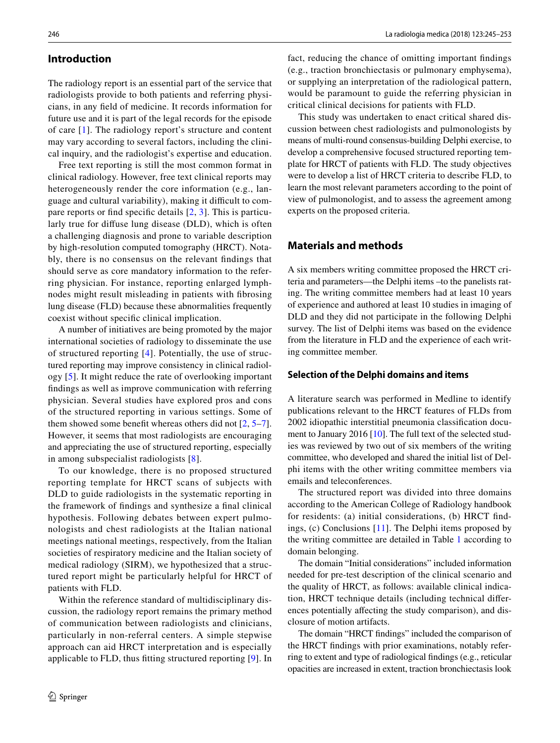## **Introduction**

The radiology report is an essential part of the service that radiologists provide to both patients and referring physicians, in any feld of medicine. It records information for future use and it is part of the legal records for the episode of care [[1](#page-7-0)]. The radiology report's structure and content may vary according to several factors, including the clinical inquiry, and the radiologist's expertise and education.

Free text reporting is still the most common format in clinical radiology. However, free text clinical reports may heterogeneously render the core information (e.g., language and cultural variability), making it difficult to compare reports or fnd specifc details [\[2,](#page-7-1) [3\]](#page-7-2). This is particularly true for difuse lung disease (DLD), which is often a challenging diagnosis and prone to variable description by high-resolution computed tomography (HRCT). Notably, there is no consensus on the relevant fndings that should serve as core mandatory information to the referring physician. For instance, reporting enlarged lymphnodes might result misleading in patients with fbrosing lung disease (FLD) because these abnormalities frequently coexist without specifc clinical implication.

A number of initiatives are being promoted by the major international societies of radiology to disseminate the use of structured reporting [\[4\]](#page-7-3). Potentially, the use of structured reporting may improve consistency in clinical radiology [\[5\]](#page-7-4). It might reduce the rate of overlooking important fndings as well as improve communication with referring physician. Several studies have explored pros and cons of the structured reporting in various settings. Some of them showed some benefit whereas others did not [[2](#page-7-1), [5](#page-7-4)[–7](#page-7-5)]. However, it seems that most radiologists are encouraging and appreciating the use of structured reporting, especially in among subspecialist radiologists [\[8\]](#page-7-6).

To our knowledge, there is no proposed structured reporting template for HRCT scans of subjects with DLD to guide radiologists in the systematic reporting in the framework of fndings and synthesize a fnal clinical hypothesis. Following debates between expert pulmonologists and chest radiologists at the Italian national meetings national meetings, respectively, from the Italian societies of respiratory medicine and the Italian society of medical radiology (SIRM), we hypothesized that a structured report might be particularly helpful for HRCT of patients with FLD.

Within the reference standard of multidisciplinary discussion, the radiology report remains the primary method of communication between radiologists and clinicians, particularly in non-referral centers. A simple stepwise approach can aid HRCT interpretation and is especially applicable to FLD, thus ftting structured reporting [[9](#page-7-7)]. In fact, reducing the chance of omitting important fndings (e.g., traction bronchiectasis or pulmonary emphysema), or supplying an interpretation of the radiological pattern, would be paramount to guide the referring physician in critical clinical decisions for patients with FLD.

This study was undertaken to enact critical shared discussion between chest radiologists and pulmonologists by means of multi-round consensus-building Delphi exercise, to develop a comprehensive focused structured reporting template for HRCT of patients with FLD. The study objectives were to develop a list of HRCT criteria to describe FLD, to learn the most relevant parameters according to the point of view of pulmonologist, and to assess the agreement among experts on the proposed criteria.

# **Materials and methods**

A six members writing committee proposed the HRCT criteria and parameters—the Delphi items –to the panelists rating. The writing committee members had at least 10 years of experience and authored at least 10 studies in imaging of DLD and they did not participate in the following Delphi survey. The list of Delphi items was based on the evidence from the literature in FLD and the experience of each writing committee member.

### **Selection of the Delphi domains and items**

A literature search was performed in Medline to identify publications relevant to the HRCT features of FLDs from 2002 idiopathic interstitial pneumonia classifcation document to January 2016 [[10\]](#page-7-8). The full text of the selected studies was reviewed by two out of six members of the writing committee, who developed and shared the initial list of Delphi items with the other writing committee members via emails and teleconferences.

The structured report was divided into three domains according to the American College of Radiology handbook for residents: (a) initial considerations, (b) HRCT fndings, (c) Conclusions [\[11](#page-8-0)]. The Delphi items proposed by the writing committee are detailed in Table [1](#page-2-0) according to domain belonging.

The domain "Initial considerations" included information needed for pre-test description of the clinical scenario and the quality of HRCT, as follows: available clinical indication, HRCT technique details (including technical diferences potentially affecting the study comparison), and disclosure of motion artifacts.

The domain "HRCT fndings" included the comparison of the HRCT fndings with prior examinations, notably referring to extent and type of radiological fndings (e.g., reticular opacities are increased in extent, traction bronchiectasis look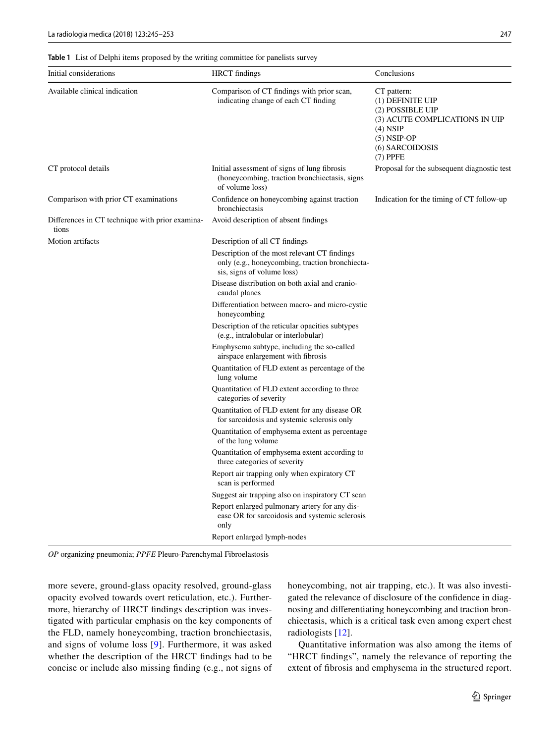<span id="page-2-0"></span>**Table 1** List of Delphi items proposed by the writing committee for panelists survey

| Initial considerations                                   | <b>HRCT</b> findings                                                                                                          | Conclusions                                                                                                                                           |
|----------------------------------------------------------|-------------------------------------------------------------------------------------------------------------------------------|-------------------------------------------------------------------------------------------------------------------------------------------------------|
| Available clinical indication                            | Comparison of CT findings with prior scan,<br>indicating change of each CT finding                                            | CT pattern:<br>(1) DEFINITE UIP<br>(2) POSSIBLE UIP<br>(3) ACUTE COMPLICATIONS IN UIP<br>$(4)$ NSIP<br>$(5)$ NSIP-OP<br>(6) SARCOIDOSIS<br>$(7)$ PPFE |
| CT protocol details                                      | Initial assessment of signs of lung fibrosis<br>(honeycombing, traction bronchiectasis, signs)<br>of volume loss)             | Proposal for the subsequent diagnostic test                                                                                                           |
| Comparison with prior CT examinations                    | Confidence on honeycombing against traction<br>bronchiectasis                                                                 | Indication for the timing of CT follow-up                                                                                                             |
| Differences in CT technique with prior examina-<br>tions | Avoid description of absent findings                                                                                          |                                                                                                                                                       |
| Motion artifacts                                         | Description of all CT findings                                                                                                |                                                                                                                                                       |
|                                                          | Description of the most relevant CT findings<br>only (e.g., honeycombing, traction bronchiecta-<br>sis, signs of volume loss) |                                                                                                                                                       |
|                                                          | Disease distribution on both axial and cranio-<br>caudal planes                                                               |                                                                                                                                                       |
|                                                          | Differentiation between macro- and micro-cystic<br>honeycombing                                                               |                                                                                                                                                       |
|                                                          | Description of the reticular opacities subtypes<br>(e.g., intralobular or interlobular)                                       |                                                                                                                                                       |
|                                                          | Emphysema subtype, including the so-called<br>airspace enlargement with fibrosis                                              |                                                                                                                                                       |
|                                                          | Quantitation of FLD extent as percentage of the<br>lung volume                                                                |                                                                                                                                                       |
|                                                          | Quantitation of FLD extent according to three<br>categories of severity                                                       |                                                                                                                                                       |
|                                                          | Quantitation of FLD extent for any disease OR<br>for sarcoidosis and systemic sclerosis only                                  |                                                                                                                                                       |
|                                                          | Quantitation of emphysema extent as percentage<br>of the lung volume                                                          |                                                                                                                                                       |
|                                                          | Quantitation of emphysema extent according to<br>three categories of severity                                                 |                                                                                                                                                       |
|                                                          | Report air trapping only when expiratory CT<br>scan is performed                                                              |                                                                                                                                                       |
|                                                          | Suggest air trapping also on inspiratory CT scan                                                                              |                                                                                                                                                       |
|                                                          | Report enlarged pulmonary artery for any dis-<br>ease OR for sarcoidosis and systemic sclerosis<br>only                       |                                                                                                                                                       |
|                                                          | Report enlarged lymph-nodes                                                                                                   |                                                                                                                                                       |

*OP* organizing pneumonia; *PPFE* Pleuro-Parenchymal Fibroelastosis

more severe, ground-glass opacity resolved, ground-glass opacity evolved towards overt reticulation, etc.). Furthermore, hierarchy of HRCT fndings description was investigated with particular emphasis on the key components of the FLD, namely honeycombing, traction bronchiectasis, and signs of volume loss [[9\]](#page-7-7). Furthermore, it was asked whether the description of the HRCT fndings had to be concise or include also missing fnding (e.g., not signs of honeycombing, not air trapping, etc.). It was also investigated the relevance of disclosure of the confdence in diagnosing and diferentiating honeycombing and traction bronchiectasis, which is a critical task even among expert chest radiologists [\[12](#page-8-1)].

Quantitative information was also among the items of "HRCT fndings", namely the relevance of reporting the extent of fbrosis and emphysema in the structured report.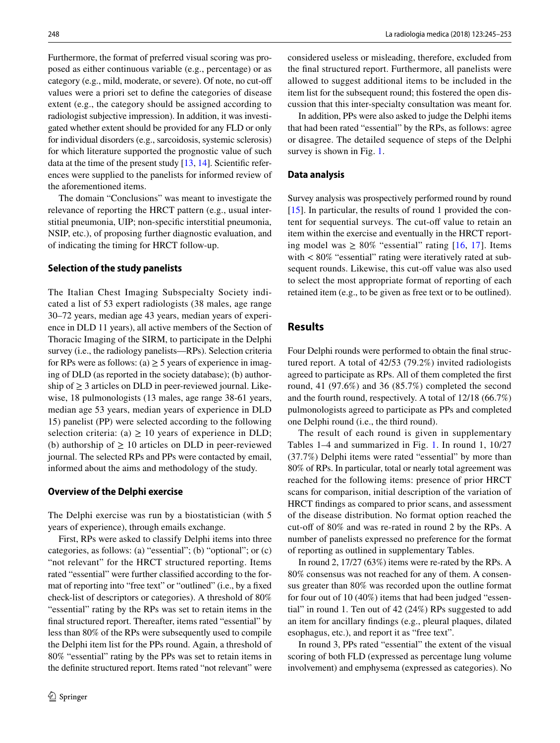Furthermore, the format of preferred visual scoring was proposed as either continuous variable (e.g., percentage) or as category (e.g., mild, moderate, or severe). Of note, no cut-of values were a priori set to defne the categories of disease extent (e.g., the category should be assigned according to radiologist subjective impression). In addition, it was investigated whether extent should be provided for any FLD or only for individual disorders (e.g., sarcoidosis, systemic sclerosis) for which literature supported the prognostic value of such data at the time of the present study  $[13, 14]$  $[13, 14]$  $[13, 14]$  $[13, 14]$ . Scientific references were supplied to the panelists for informed review of the aforementioned items.

The domain "Conclusions" was meant to investigate the relevance of reporting the HRCT pattern (e.g., usual interstitial pneumonia, UIP; non-specifc interstitial pneumonia, NSIP, etc.), of proposing further diagnostic evaluation, and of indicating the timing for HRCT follow-up.

#### **Selection of the study panelists**

The Italian Chest Imaging Subspecialty Society indicated a list of 53 expert radiologists (38 males, age range 30–72 years, median age 43 years, median years of experience in DLD 11 years), all active members of the Section of Thoracic Imaging of the SIRM, to participate in the Delphi survey (i.e., the radiology panelists—RPs). Selection criteria for RPs were as follows: (a)  $\geq$  5 years of experience in imaging of DLD (as reported in the society database); (b) authorship of  $\geq$  3 articles on DLD in peer-reviewed journal. Likewise, 18 pulmonologists (13 males, age range 38-61 years, median age 53 years, median years of experience in DLD 15) panelist (PP) were selected according to the following selection criteria: (a)  $\geq$  10 years of experience in DLD; (b) authorship of  $\geq 10$  articles on DLD in peer-reviewed journal. The selected RPs and PPs were contacted by email, informed about the aims and methodology of the study.

#### **Overview of the Delphi exercise**

The Delphi exercise was run by a biostatistician (with 5 years of experience), through emails exchange.

First, RPs were asked to classify Delphi items into three categories, as follows: (a) "essential"; (b) "optional"; or (c) "not relevant" for the HRCT structured reporting. Items rated "essential" were further classifed according to the format of reporting into "free text" or "outlined" (i.e., by a fxed check-list of descriptors or categories). A threshold of 80% "essential" rating by the RPs was set to retain items in the fnal structured report. Thereafter, items rated "essential" by less than 80% of the RPs were subsequently used to compile the Delphi item list for the PPs round. Again, a threshold of 80% "essential" rating by the PPs was set to retain items in the defnite structured report. Items rated "not relevant" were considered useless or misleading, therefore, excluded from the fnal structured report. Furthermore, all panelists were allowed to suggest additional items to be included in the item list for the subsequent round; this fostered the open discussion that this inter-specialty consultation was meant for.

In addition, PPs were also asked to judge the Delphi items that had been rated "essential" by the RPs, as follows: agree or disagree. The detailed sequence of steps of the Delphi survey is shown in Fig. [1.](#page-4-0)

#### **Data analysis**

Survey analysis was prospectively performed round by round [[15\]](#page-8-4). In particular, the results of round 1 provided the content for sequential surveys. The cut-off value to retain an item within the exercise and eventually in the HRCT reporting model was  $\geq 80\%$  "essential" rating [\[16,](#page-8-5) [17](#page-8-6)]. Items with  $< 80\%$  "essential" rating were iteratively rated at subsequent rounds. Likewise, this cut-off value was also used to select the most appropriate format of reporting of each retained item (e.g., to be given as free text or to be outlined).

## **Results**

Four Delphi rounds were performed to obtain the fnal structured report. A total of 42/53 (79.2%) invited radiologists agreed to participate as RPs. All of them completed the frst round, 41 (97.6%) and 36 (85.7%) completed the second and the fourth round, respectively. A total of 12/18 (66.7%) pulmonologists agreed to participate as PPs and completed one Delphi round (i.e., the third round).

The result of each round is given in supplementary Tables 1–4 and summarized in Fig. [1](#page-4-0). In round 1, 10/27 (37.7%) Delphi items were rated "essential" by more than 80% of RPs. In particular, total or nearly total agreement was reached for the following items: presence of prior HRCT scans for comparison, initial description of the variation of HRCT fndings as compared to prior scans, and assessment of the disease distribution. No format option reached the cut-off of 80% and was re-rated in round 2 by the RPs. A number of panelists expressed no preference for the format of reporting as outlined in supplementary Tables.

In round 2, 17/27 (63%) items were re-rated by the RPs. A 80% consensus was not reached for any of them. A consensus greater than 80% was recorded upon the outline format for four out of 10 (40%) items that had been judged "essential" in round 1. Ten out of 42 (24%) RPs suggested to add an item for ancillary fndings (e.g., pleural plaques, dilated esophagus, etc.), and report it as "free text".

In round 3, PPs rated "essential" the extent of the visual scoring of both FLD (expressed as percentage lung volume involvement) and emphysema (expressed as categories). No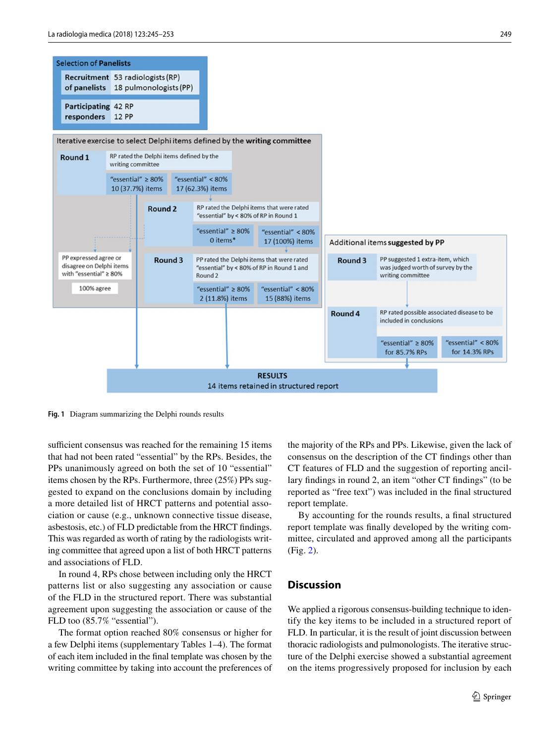

<span id="page-4-0"></span>**Fig. 1** Diagram summarizing the Delphi rounds results

sufficient consensus was reached for the remaining 15 items that had not been rated "essential" by the RPs. Besides, the PPs unanimously agreed on both the set of 10 "essential" items chosen by the RPs. Furthermore, three (25%) PPs suggested to expand on the conclusions domain by including a more detailed list of HRCT patterns and potential association or cause (e.g., unknown connective tissue disease, asbestosis, etc.) of FLD predictable from the HRCT fndings. This was regarded as worth of rating by the radiologists writing committee that agreed upon a list of both HRCT patterns and associations of FLD.

In round 4, RPs chose between including only the HRCT patterns list or also suggesting any association or cause of the FLD in the structured report. There was substantial agreement upon suggesting the association or cause of the FLD too (85.7% "essential").

The format option reached 80% consensus or higher for a few Delphi items (supplementary Tables 1–4). The format of each item included in the fnal template was chosen by the writing committee by taking into account the preferences of the majority of the RPs and PPs. Likewise, given the lack of consensus on the description of the CT fndings other than CT features of FLD and the suggestion of reporting ancillary fndings in round 2, an item "other CT fndings" (to be reported as "free text") was included in the fnal structured report template.

By accounting for the rounds results, a fnal structured report template was fnally developed by the writing committee, circulated and approved among all the participants (Fig. [2\)](#page-5-0).

## **Discussion**

We applied a rigorous consensus-building technique to identify the key items to be included in a structured report of FLD. In particular, it is the result of joint discussion between thoracic radiologists and pulmonologists. The iterative structure of the Delphi exercise showed a substantial agreement on the items progressively proposed for inclusion by each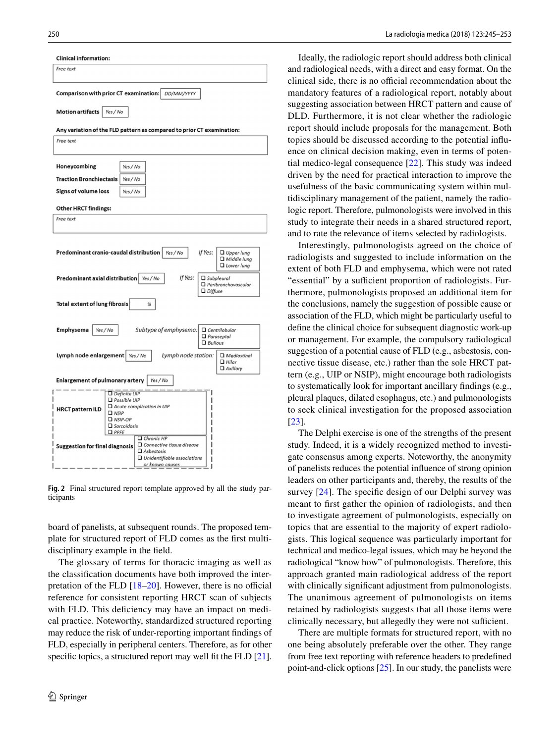

<span id="page-5-0"></span>**Fig. 2** Final structured report template approved by all the study participants

board of panelists, at subsequent rounds. The proposed template for structured report of FLD comes as the frst multidisciplinary example in the feld.

The glossary of terms for thoracic imaging as well as the classifcation documents have both improved the interpretation of the FLD  $[18–20]$  $[18–20]$  $[18–20]$  $[18–20]$ . However, there is no official reference for consistent reporting HRCT scan of subjects with FLD. This deficiency may have an impact on medical practice. Noteworthy, standardized structured reporting may reduce the risk of under-reporting important fndings of FLD, especially in peripheral centers. Therefore, as for other specific topics, a structured report may well fit the FLD [\[21](#page-8-9)].

Ideally, the radiologic report should address both clinical and radiological needs, with a direct and easy format. On the clinical side, there is no official recommendation about the mandatory features of a radiological report, notably about suggesting association between HRCT pattern and cause of DLD. Furthermore, it is not clear whether the radiologic report should include proposals for the management. Both topics should be discussed according to the potential infuence on clinical decision making, even in terms of potential medico-legal consequence [[22](#page-8-10)]. This study was indeed driven by the need for practical interaction to improve the usefulness of the basic communicating system within multidisciplinary management of the patient, namely the radiologic report. Therefore, pulmonologists were involved in this study to integrate their needs in a shared structured report, and to rate the relevance of items selected by radiologists.

Interestingly, pulmonologists agreed on the choice of radiologists and suggested to include information on the extent of both FLD and emphysema, which were not rated "essential" by a sufficient proportion of radiologists. Furthermore, pulmonologists proposed an additional item for the conclusions, namely the suggestion of possible cause or association of the FLD, which might be particularly useful to defne the clinical choice for subsequent diagnostic work-up or management. For example, the compulsory radiological suggestion of a potential cause of FLD (e.g., asbestosis, connective tissue disease, etc.) rather than the sole HRCT pattern (e.g., UIP or NSIP), might encourage both radiologists to systematically look for important ancillary fndings (e.g., pleural plaques, dilated esophagus, etc.) and pulmonologists to seek clinical investigation for the proposed association [[23\]](#page-8-11).

The Delphi exercise is one of the strengths of the present study. Indeed, it is a widely recognized method to investigate consensus among experts. Noteworthy, the anonymity of panelists reduces the potential infuence of strong opinion leaders on other participants and, thereby, the results of the survey [\[24\]](#page-8-12). The specific design of our Delphi survey was meant to frst gather the opinion of radiologists, and then to investigate agreement of pulmonologists, especially on topics that are essential to the majority of expert radiologists. This logical sequence was particularly important for technical and medico-legal issues, which may be beyond the radiological "know how" of pulmonologists. Therefore, this approach granted main radiological address of the report with clinically signifcant adjustment from pulmonologists. The unanimous agreement of pulmonologists on items retained by radiologists suggests that all those items were clinically necessary, but allegedly they were not sufficient.

There are multiple formats for structured report, with no one being absolutely preferable over the other. They range from free text reporting with reference headers to predefned point-and-click options [[25\]](#page-8-13). In our study, the panelists were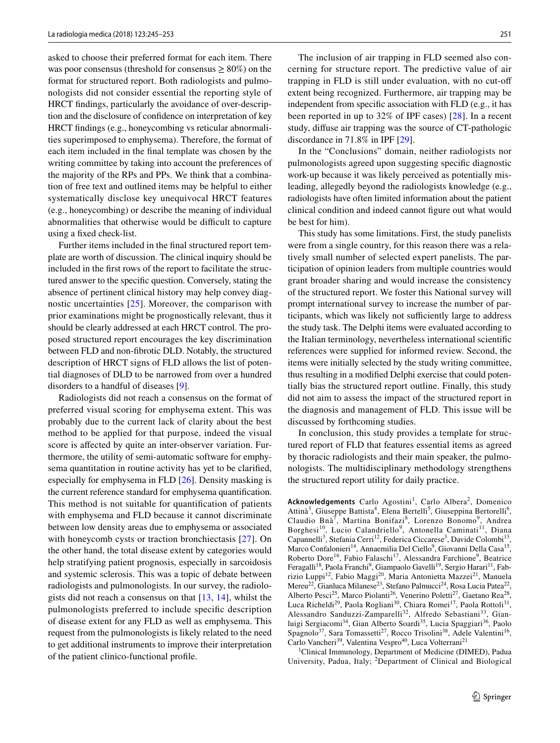asked to choose their preferred format for each item. There was poor consensus (threshold for consensus  $\geq 80\%$ ) on the format for structured report. Both radiologists and pulmonologists did not consider essential the reporting style of HRCT fndings, particularly the avoidance of over-description and the disclosure of confdence on interpretation of key HRCT fndings (e.g., honeycombing vs reticular abnormalities superimposed to emphysema). Therefore, the format of each item included in the fnal template was chosen by the writing committee by taking into account the preferences of the majority of the RPs and PPs. We think that a combination of free text and outlined items may be helpful to either systematically disclose key unequivocal HRCT features (e.g., honeycombing) or describe the meaning of individual abnormalities that otherwise would be difficult to capture using a fxed check-list.

Further items included in the fnal structured report template are worth of discussion. The clinical inquiry should be included in the frst rows of the report to facilitate the structured answer to the specifc question. Conversely, stating the absence of pertinent clinical history may help convey diagnostic uncertainties [[25\]](#page-8-13). Moreover, the comparison with prior examinations might be prognostically relevant, thus it should be clearly addressed at each HRCT control. The proposed structured report encourages the key discrimination between FLD and non-fbrotic DLD. Notably, the structured description of HRCT signs of FLD allows the list of potential diagnoses of DLD to be narrowed from over a hundred disorders to a handful of diseases [[9\]](#page-7-7).

Radiologists did not reach a consensus on the format of preferred visual scoring for emphysema extent. This was probably due to the current lack of clarity about the best method to be applied for that purpose, indeed the visual score is afected by quite an inter-observer variation. Furthermore, the utility of semi-automatic software for emphysema quantitation in routine activity has yet to be clarifed, especially for emphysema in FLD [\[26](#page-8-14)]. Density masking is the current reference standard for emphysema quantifcation. This method is not suitable for quantifcation of patients with emphysema and FLD because it cannot discriminate between low density areas due to emphysema or associated with honeycomb cysts or traction bronchiectasis [\[27\]](#page-8-15). On the other hand, the total disease extent by categories would help stratifying patient prognosis, especially in sarcoidosis and systemic sclerosis. This was a topic of debate between radiologists and pulmonologists. In our survey, the radiologists did not reach a consensus on that [[13,](#page-8-2) [14](#page-8-3)], whilst the pulmonologists preferred to include specifc description of disease extent for any FLD as well as emphysema. This request from the pulmonologists is likely related to the need to get additional instruments to improve their interpretation of the patient clinico-functional profle.

The inclusion of air trapping in FLD seemed also concerning for structure report. The predictive value of air trapping in FLD is still under evaluation, with no cut-of extent being recognized. Furthermore, air trapping may be independent from specifc association with FLD (e.g., it has been reported in up to 32% of IPF cases) [\[28\]](#page-8-16). In a recent study, difuse air trapping was the source of CT-pathologic discordance in 71.8% in IPF [[29\]](#page-8-17).

In the "Conclusions" domain, neither radiologists nor pulmonologists agreed upon suggesting specifc diagnostic work-up because it was likely perceived as potentially misleading, allegedly beyond the radiologists knowledge (e.g., radiologists have often limited information about the patient clinical condition and indeed cannot fgure out what would be best for him).

This study has some limitations. First, the study panelists were from a single country, for this reason there was a relatively small number of selected expert panelists. The participation of opinion leaders from multiple countries would grant broader sharing and would increase the consistency of the structured report. We foster this National survey will prompt international survey to increase the number of participants, which was likely not sufficiently large to address the study task. The Delphi items were evaluated according to the Italian terminology, nevertheless international scientifc references were supplied for informed review. Second, the items were initially selected by the study writing committee, thus resulting in a modifed Delphi exercise that could potentially bias the structured report outline. Finally, this study did not aim to assess the impact of the structured report in the diagnosis and management of FLD. This issue will be discussed by forthcoming studies.

In conclusion, this study provides a template for structured report of FLD that features essential items as agreed by thoracic radiologists and their main speaker, the pulmonologists. The multidisciplinary methodology strengthens the structured report utility for daily practice.

Acknowledgements Carlo Agostini<sup>1</sup>, Carlo Albera<sup>2</sup>, Domenico Attinà<sup>3</sup>, Giuseppe Battista<sup>4</sup>, Elena Bertelli<sup>5</sup>, Giuseppina Bertorelli<sup>6</sup>, Claudio Bnà<sup>7</sup>, Martina Bonifazi<sup>8</sup>, Lorenzo Bonomo<sup>9</sup>, Andrea Borghesi<sup>10</sup>, Lucio Calandriello<sup>9</sup>, Antonella Caminati<sup>11</sup>, Diana Capannelli<sup>3</sup>, Stefania Cerri<sup>12</sup>, Federica Ciccarese<sup>3</sup>, Davide Colombi<sup>13</sup>, Marco Confalonieri<sup>14</sup>, Annaemilia Del Ciello<sup>9</sup>, Giovanni Della Casa<sup>15</sup>, Roberto Dore<sup>16</sup>, Fabio Falaschi<sup>17</sup>, Alessandra Farchione<sup>9</sup>, Beatrice Feragalli<sup>18</sup>, Paola Franchi<sup>9</sup>, Giampaolo Gavelli<sup>19</sup>, Sergio Harari<sup>11</sup>, Fabrizio Luppi<sup>12</sup>, Fabio Maggi<sup>20</sup>, Maria Antonietta Mazzei<sup>21</sup>, Manuela Mereu<sup>22</sup>, Gianluca Milanese<sup>23</sup>, Stefano Palmucci<sup>24</sup>, Rosa Lucia Patea<sup>22</sup>, Alberto Pesci<sup>25</sup>, Marco Piolanti<sup>26</sup>, Venerino Poletti<sup>27</sup>, Gaetano Rea<sup>28</sup>, Luca Richeldi<sup>29</sup>, Paola Rogliani<sup>30</sup>, Chiara Romei<sup>17</sup>, Paola Rottoli<sup>31</sup>, Alessandro Sanduzzi-Zamparelli<sup>32</sup>, Alfredo Sebastiani<sup>33</sup>, Gianluigi Sergiacomi<sup>34</sup>, Gian Alberto Soardi<sup>35</sup>, Lucia Spaggiari<sup>36</sup>, Paolo Spagnolo<sup>37</sup>, Sara Tomassetti<sup>27</sup>, Rocco Trisolini<sup>38</sup>, Adele Valentini<sup>16</sup>, Carlo Vancheri<sup>39</sup>, Valentina Vespro<sup>40</sup>, Luca Volterrani<sup>21</sup>

1 Clinical Immunology, Department of Medicine (DIMED), Padua University, Padua, Italy; <sup>2</sup>Department of Clinical and Biological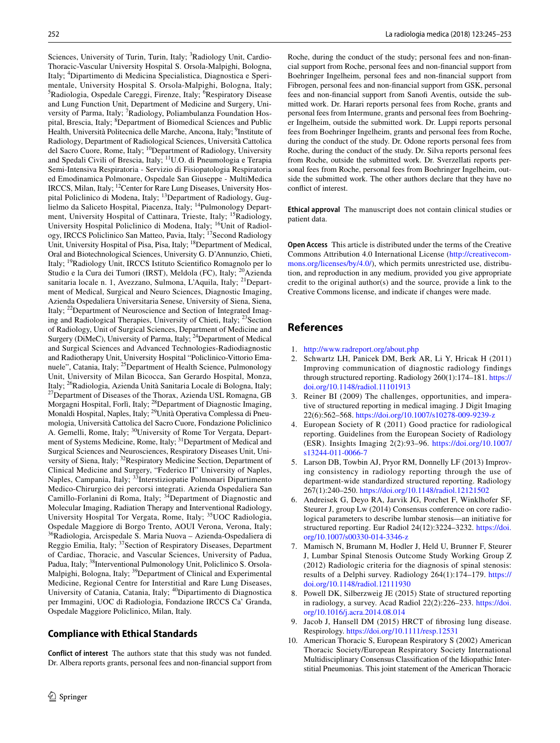Sciences, University of Turin, Turin, Italy; <sup>3</sup>Radiology Unit, Cardio-Thoracic-Vascular University Hospital S. Orsola-Malpighi, Bologna, Italy; <sup>4</sup> Dipartimento di Medicina Specialistica, Diagnostica e Sperimentale, University Hospital S. Orsola-Malpighi, Bologna, Italy; <sup>5</sup>Radiologia, Ospedale Careggi, Firenze, Italy; <sup>6</sup>Respiratory Disease and Lung Function Unit, Department of Medicine and Surgery, University of Parma, Italy; <sup>7</sup>Radiology, Poliambulanza Foundation Hospital, Brescia, Italy; <sup>8</sup>Department of Biomedical Sciences and Public Health, Università Politecnica delle Marche, Ancona, Italy; <sup>9</sup>Institute of Radiology, Department of Radiological Sciences, Università Cattolica del Sacro Cuore, Rome, Italy; <sup>10</sup>Department of Radiology, University and Spedali Civili of Brescia, Italy; 11U.O. di Pneumologia e Terapia Semi-Intensiva Respiratoria - Servizio di Fisiopatologia Respiratoria ed Emodinamica Polmonare, Ospedale San Giuseppe - MultiMedica IRCCS, Milan, Italy; 12Center for Rare Lung Diseases, University Hospital Policlinico di Modena, Italy; <sup>13</sup>Department of Radiology, Guglielmo da Saliceto Hospital, Piacenza, Italy; 14Pulmonology Department, University Hospital of Cattinara, Trieste, Italy; <sup>15</sup>Radiology, University Hospital Policlinico di Modena, Italy; <sup>16</sup>Unit of Radiology, IRCCS Policlinico San Matteo, Pavia, Italy; <sup>17</sup>Second Radiology Unit, University Hospital of Pisa, Pisa, Italy; <sup>18</sup>Department of Medical, Oral and Biotechnological Sciences, University G. D'Annunzio, Chieti, Italy; 19Radiology Unit, IRCCS Istituto Scientifco Romagnolo per lo Studio e la Cura dei Tumori (IRST), Meldola (FC), Italy; <sup>20</sup>Azienda sanitaria locale n. 1, Avezzano, Sulmona, L'Aquila, Italy; <sup>21</sup>Department of Medical, Surgical and Neuro Sciences, Diagnostic Imaging, Azienda Ospedaliera Universitaria Senese, University of Siena, Siena, Italy; 22Department of Neuroscience and Section of Integrated Imaging and Radiological Therapies, University of Chieti, Italy; <sup>23</sup>Section of Radiology, Unit of Surgical Sciences, Department of Medicine and Surgery (DiMeC), University of Parma, Italy; 24Department of Medical and Surgical Sciences and Advanced Technologies-Radiodiagnostic and Radiotherapy Unit, University Hospital "Policlinico-Vittorio Emanuele", Catania, Italy; <sup>25</sup>Department of Health Science, Pulmonology Unit, University of Milan Bicocca, San Gerardo Hospital, Monza, Italy; <sup>26</sup>Radiologia, Azienda Unità Sanitaria Locale di Bologna, Italy; <sup>27</sup>Department of Diseases of the Thorax, Azienda USL Romagna, GB Morgagni Hospital, Forlì, Italy; <sup>28</sup>Department of Diagnostic Imaging, Monaldi Hospital, Naples, Italy; 29Unità Operativa Complessa di Pneumologia, Università Cattolica del Sacro Cuore, Fondazione Policlinico A. Gemelli, Rome, Italy; <sup>30</sup>University of Rome Tor Vergata, Department of Systems Medicine, Rome, Italy; <sup>31</sup>Department of Medical and Surgical Sciences and Neurosciences, Respiratory Diseases Unit, University of Siena, Italy; <sup>32</sup>Respiratory Medicine Section, Department of Clinical Medicine and Surgery, "Federico II" University of Naples, Naples, Campania, Italy; <sup>33</sup>Interstiziopatie Polmonari Dipartimento Medico-Chirurgico dei percorsi integrati. Azienda Ospedaliera San Camillo-Forlanini di Roma, Italy; <sup>34</sup>Department of Diagnostic and Molecular Imaging, Radiation Therapy and Interventional Radiology, University Hospital Tor Vergata, Rome, Italy; 35UOC Radiologia, Ospedale Maggiore di Borgo Trento, AOUI Verona, Verona, Italy; <sup>36</sup>Radiologia, Arcispedale S. Maria Nuova – Azienda-Ospedaliera di Reggio Emilia, Italy; <sup>37</sup>Section of Respiratory Diseases, Department of Cardiac, Thoracic, and Vascular Sciences, University of Padua, Padua, Italy; <sup>38</sup>Interventional Pulmonology Unit, Policlinico S. Orsola-Malpighi, Bologna, Italy; 39Department of Clinical and Experimental Medicine, Regional Centre for Interstitial and Rare Lung Diseases, University of Catania, Catania, Italy; <sup>40</sup>Dipartimento di Diagnostica per Immagini, UOC di Radiologia, Fondazione IRCCS Ca' Granda, Ospedale Maggiore Policlinico, Milan, Italy.

## **Compliance with Ethical Standards**

**Conflict of interest** The authors state that this study was not funded. Dr. Albera reports grants, personal fees and non-fnancial support from Roche, during the conduct of the study; personal fees and non-fnancial support from Roche, personal fees and non-fnancial support from Boehringer Ingelheim, personal fees and non-fnancial support from Fibrogen, personal fees and non-fnancial support from GSK, personal fees and non-fnancial support from Sanof Aventis, outside the submitted work. Dr. Harari reports personal fees from Roche, grants and personal fees from Intermune, grants and personal fees from Boehringer Ingelheim, outside the submitted work. Dr. Luppi reports personal fees from Boehringer Ingelheim, grants and personal fees from Roche, during the conduct of the study. Dr. Odone reports personal fees from Roche, during the conduct of the study. Dr. Silva reports personal fees from Roche, outside the submitted work. Dr. Sverzellati reports personal fees from Roche, personal fees from Boehringer Ingelheim, outside the submitted work. The other authors declare that they have no confict of interest.

**Ethical approval** The manuscript does not contain clinical studies or patient data.

**Open Access** This article is distributed under the terms of the Creative Commons Attribution 4.0 International License [\(http://creativecom](http://creativecommons.org/licenses/by/4.0/)[mons.org/licenses/by/4.0/](http://creativecommons.org/licenses/by/4.0/)), which permits unrestricted use, distribution, and reproduction in any medium, provided you give appropriate credit to the original author(s) and the source, provide a link to the Creative Commons license, and indicate if changes were made.

# **References**

- <span id="page-7-0"></span>1. <http://www.radreport.org/about.php>
- <span id="page-7-1"></span>2. Schwartz LH, Panicek DM, Berk AR, Li Y, Hricak H (2011) Improving communication of diagnostic radiology findings through structured reporting. Radiology 260(1):174–181. [https://](https://doi.org/10.1148/radiol.11101913) [doi.org/10.1148/radiol.11101913](https://doi.org/10.1148/radiol.11101913)
- <span id="page-7-2"></span>3. Reiner BI (2009) The challenges, opportunities, and imperative of structured reporting in medical imaging. J Digit Imaging 22(6):562–568.<https://doi.org/10.1007/s10278-009-9239-z>
- <span id="page-7-3"></span>4. European Society of R (2011) Good practice for radiological reporting. Guidelines from the European Society of Radiology (ESR). Insights Imaging 2(2):93–96. [https://doi.org/10.1007/](https://doi.org/10.1007/s13244-011-0066-7) [s13244-011-0066-7](https://doi.org/10.1007/s13244-011-0066-7)
- <span id="page-7-4"></span>5. Larson DB, Towbin AJ, Pryor RM, Donnelly LF (2013) Improving consistency in radiology reporting through the use of department-wide standardized structured reporting. Radiology 267(1):240–250. <https://doi.org/10.1148/radiol.12121502>
- 6. Andreisek G, Deyo RA, Jarvik JG, Porchet F, Winklhofer SF, Steurer J, group Lw (2014) Consensus conference on core radiological parameters to describe lumbar stenosis—an initiative for structured reporting. Eur Radiol 24(12):3224–3232. [https://doi.](https://doi.org/10.1007/s00330-014-3346-z) [org/10.1007/s00330-014-3346-z](https://doi.org/10.1007/s00330-014-3346-z)
- <span id="page-7-5"></span>7. Mamisch N, Brumann M, Hodler J, Held U, Brunner F, Steurer J, Lumbar Spinal Stenosis Outcome Study Working Group Z (2012) Radiologic criteria for the diagnosis of spinal stenosis: results of a Delphi survey. Radiology 264(1):174–179. [https://](https://doi.org/10.1148/radiol.12111930) [doi.org/10.1148/radiol.12111930](https://doi.org/10.1148/radiol.12111930)
- <span id="page-7-6"></span>Powell DK, Silberzweig JE (2015) State of structured reporting in radiology, a survey. Acad Radiol 22(2):226–233. [https://doi.](https://doi.org/10.1016/j.acra.2014.08.014) [org/10.1016/j.acra.2014.08.014](https://doi.org/10.1016/j.acra.2014.08.014)
- <span id="page-7-7"></span>9. Jacob J, Hansell DM (2015) HRCT of fbrosing lung disease. Respirology. <https://doi.org/10.1111/resp.12531>
- <span id="page-7-8"></span>10. American Thoracic S, European Respiratory S (2002) American Thoracic Society/European Respiratory Society International Multidisciplinary Consensus Classifcation of the Idiopathic Interstitial Pneumonias. This joint statement of the American Thoracic